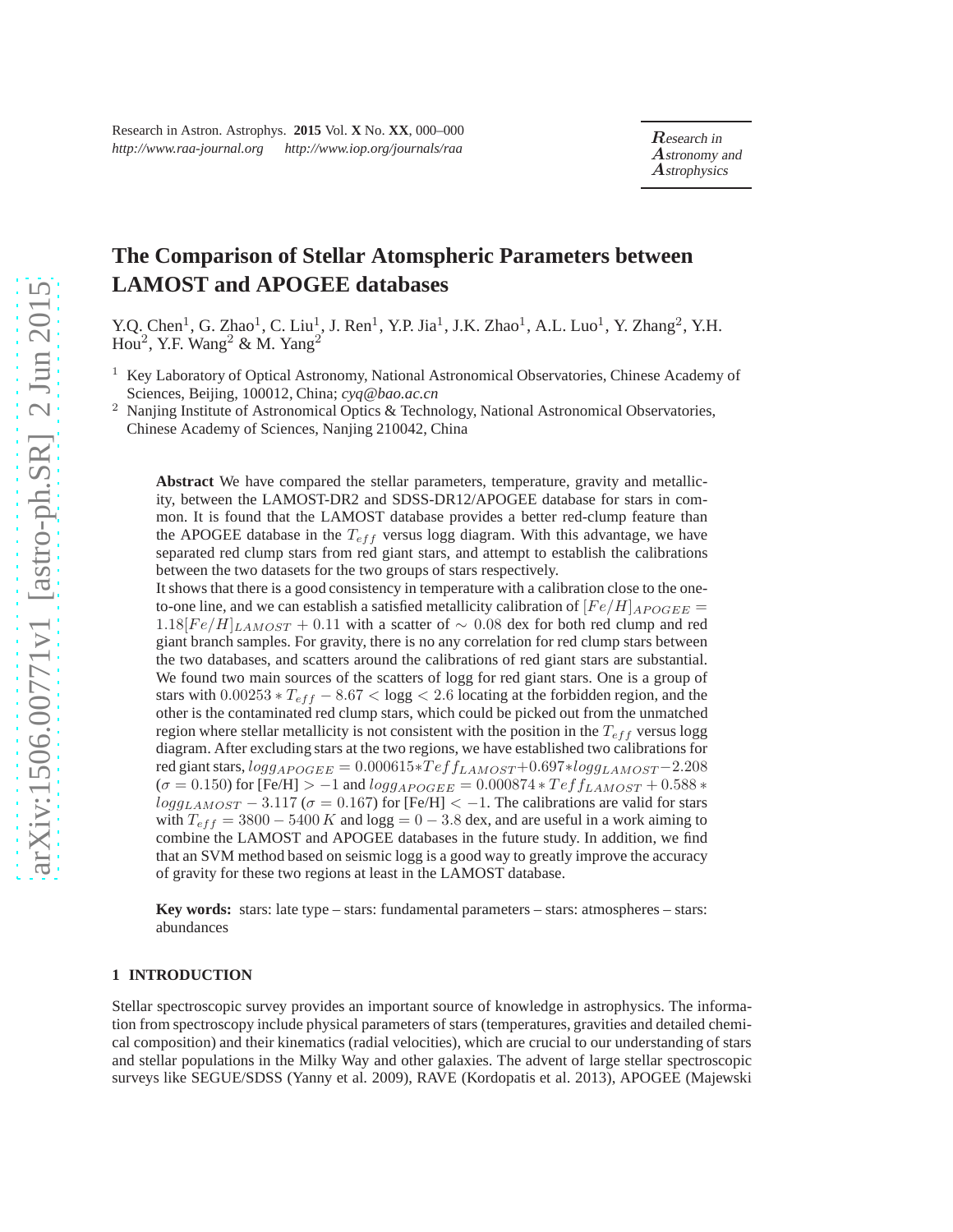# **The Comparison of Stellar Atomspheric Parameters between LAMOST and APOGEE databases**

Y.Q. Chen<sup>1</sup>, G. Zhao<sup>1</sup>, C. Liu<sup>1</sup>, J. Ren<sup>1</sup>, Y.P. Jia<sup>1</sup>, J.K. Zhao<sup>1</sup>, A.L. Luo<sup>1</sup>, Y. Zhang<sup>2</sup>, Y.H.  $Hou<sup>2</sup>$ , Y.F. Wang<sup>2</sup> & M. Yang<sup>2</sup>

<sup>1</sup> Key Laboratory of Optical Astronomy, National Astronomical Observatories, Chinese Academy of Sciences, Beijing, 100012, China; *cyq@bao.ac.cn*

<sup>2</sup> Nanjing Institute of Astronomical Optics & Technology, National Astronomical Observatories, Chinese Academy of Sciences, Nanjing 210042, China

**Abstract** We have compared the stellar parameters, temperature, gravity and metallicity, between the LAMOST-DR2 and SDSS-DR12/APOGEE database for stars in common. It is found that the LAMOST database provides a better red-clump feature than the APOGEE database in the  $T_{eff}$  versus logg diagram. With this advantage, we have separated red clump stars from red giant stars, and attempt to establish the calibrations between the two datasets for the two groups of stars respectively.

It shows that there is a good consistency in temperature with a calibration close to the oneto-one line, and we can establish a satisfied metallicity calibration of  $[Fe/H]_{APOGEE}$  =  $1.18[Fe/H]_{LAMOST} + 0.11$  with a scatter of ~ 0.08 dex for both red clump and red giant branch samples. For gravity, there is no any correlation for red clump stars between the two databases, and scatters around the calibrations of red giant stars are substantial. We found two main sources of the scatters of logg for red giant stars. One is a group of stars with  $0.00253 * T_{eff} - 8.67 < log g < 2.6$  locating at the forbidden region, and the other is the contaminated red clump stars, which could be picked out from the unmatched region where stellar metallicity is not consistent with the position in the  $T_{eff}$  versus logg diagram. After excluding stars at the two regions, we have established two calibrations for red giant stars,  $logg_{APOGEE} = 0.000615 * Teff_{LAMOST} + 0.697 * logg_{LAMOST} - 2.208$  $(\sigma = 0.150)$  for [Fe/H] > -1 and  $logg_{APOGEE} = 0.000874 * Teff_{LAMOST} + 0.588 *$  $logg_{LAMOST}$  – 3.117 ( $\sigma$  = 0.167) for [Fe/H] < -1. The calibrations are valid for stars with  $T_{eff} = 3800 - 5400 K$  and logg = 0 – 3.8 dex, and are useful in a work aiming to combine the LAMOST and APOGEE databases in the future study. In addition, we find that an SVM method based on seismic logg is a good way to greatly improve the accuracy of gravity for these two regions at least in the LAMOST database.

**Key words:** stars: late type – stars: fundamental parameters – stars: atmospheres – stars: abundances

# **1 INTRODUCTION**

Stellar spectroscopic survey provides an important source of knowledge in astrophysics. The information from spectroscopy include physical parameters of stars (temperatures, gravities and detailed chemical composition) and their kinematics (radial velocities), which are crucial to our understanding of stars and stellar populations in the Milky Way and other galaxies. The advent of large stellar spectroscopic surveys like SEGUE/SDSS (Yanny et al. 2009), RAVE (Kordopatis et al. 2013), APOGEE (Majewski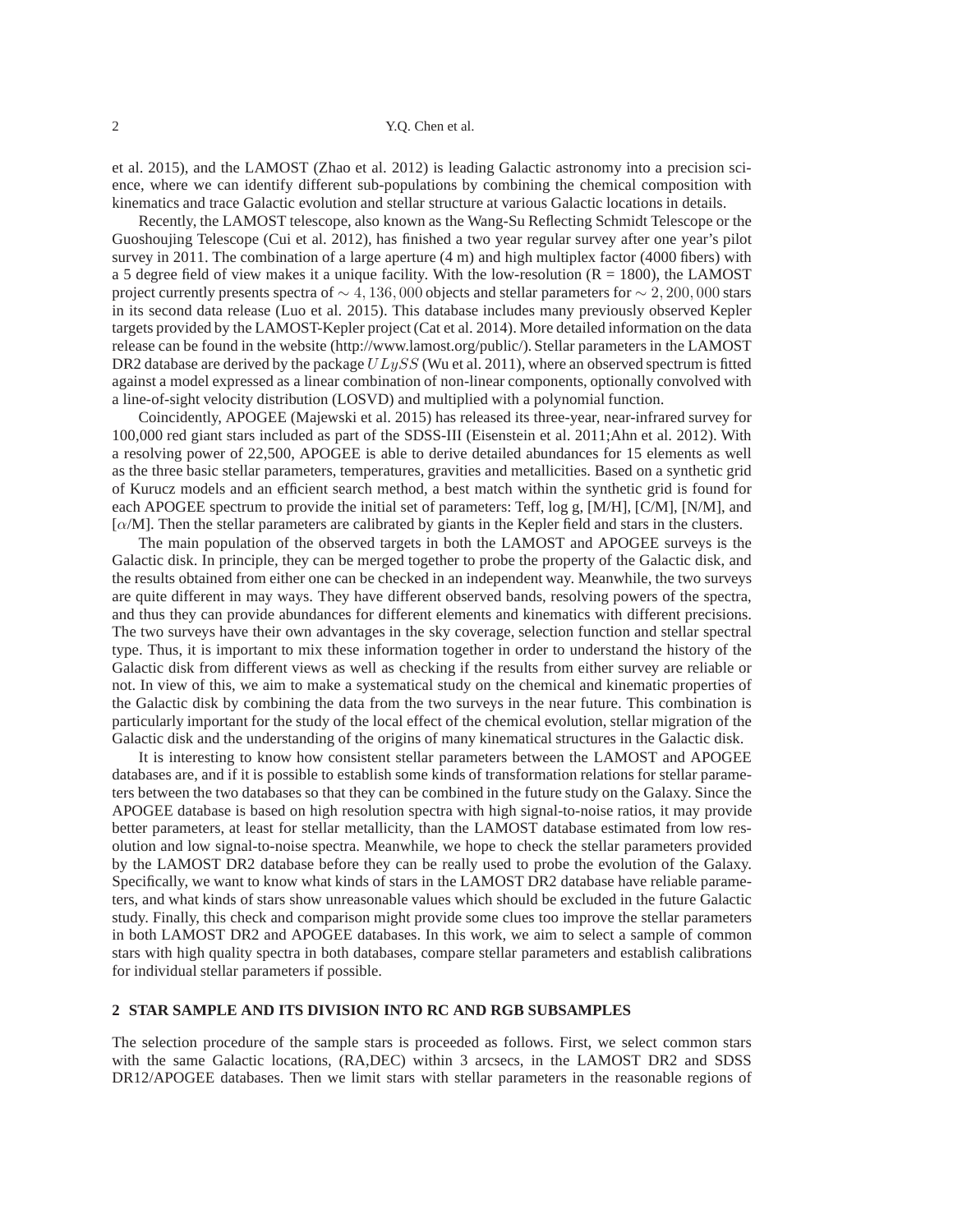et al. 2015), and the LAMOST (Zhao et al. 2012) is leading Galactic astronomy into a precision science, where we can identify different sub-populations by combining the chemical composition with kinematics and trace Galactic evolution and stellar structure at various Galactic locations in details.

Recently, the LAMOST telescope, also known as the Wang-Su Reflecting Schmidt Telescope or the Guoshoujing Telescope (Cui et al. 2012), has finished a two year regular survey after one year's pilot survey in 2011. The combination of a large aperture (4 m) and high multiplex factor (4000 fibers) with a 5 degree field of view makes it a unique facility. With the low-resolution  $(R = 1800)$ , the LAMOST project currently presents spectra of  $\sim$  4, 136, 000 objects and stellar parameters for  $\sim$  2, 200, 000 stars in its second data release (Luo et al. 2015). This database includes many previously observed Kepler targets provided by the LAMOST-Kepler project (Cat et al. 2014). More detailed information on the data release can be found in the website (http://www.lamost.org/public/). Stellar parameters in the LAMOST DR2 database are derived by the package  $ULySS$  (Wu et al. 2011), where an observed spectrum is fitted against a model expressed as a linear combination of non-linear components, optionally convolved with a line-of-sight velocity distribution (LOSVD) and multiplied with a polynomial function.

Coincidently, APOGEE (Majewski et al. 2015) has released its three-year, near-infrared survey for 100,000 red giant stars included as part of the SDSS-III (Eisenstein et al. 2011;Ahn et al. 2012). With a resolving power of 22,500, APOGEE is able to derive detailed abundances for 15 elements as well as the three basic stellar parameters, temperatures, gravities and metallicities. Based on a synthetic grid of Kurucz models and an efficient search method, a best match within the synthetic grid is found for each APOGEE spectrum to provide the initial set of parameters: Teff, log g, [M/H], [C/M], [N/M], and  $\lceil \alpha/M \rceil$ . Then the stellar parameters are calibrated by giants in the Kepler field and stars in the clusters.

The main population of the observed targets in both the LAMOST and APOGEE surveys is the Galactic disk. In principle, they can be merged together to probe the property of the Galactic disk, and the results obtained from either one can be checked in an independent way. Meanwhile, the two surveys are quite different in may ways. They have different observed bands, resolving powers of the spectra, and thus they can provide abundances for different elements and kinematics with different precisions. The two surveys have their own advantages in the sky coverage, selection function and stellar spectral type. Thus, it is important to mix these information together in order to understand the history of the Galactic disk from different views as well as checking if the results from either survey are reliable or not. In view of this, we aim to make a systematical study on the chemical and kinematic properties of the Galactic disk by combining the data from the two surveys in the near future. This combination is particularly important for the study of the local effect of the chemical evolution, stellar migration of the Galactic disk and the understanding of the origins of many kinematical structures in the Galactic disk.

It is interesting to know how consistent stellar parameters between the LAMOST and APOGEE databases are, and if it is possible to establish some kinds of transformation relations for stellar parameters between the two databases so that they can be combined in the future study on the Galaxy. Since the APOGEE database is based on high resolution spectra with high signal-to-noise ratios, it may provide better parameters, at least for stellar metallicity, than the LAMOST database estimated from low resolution and low signal-to-noise spectra. Meanwhile, we hope to check the stellar parameters provided by the LAMOST DR2 database before they can be really used to probe the evolution of the Galaxy. Specifically, we want to know what kinds of stars in the LAMOST DR2 database have reliable parameters, and what kinds of stars show unreasonable values which should be excluded in the future Galactic study. Finally, this check and comparison might provide some clues too improve the stellar parameters in both LAMOST DR2 and APOGEE databases. In this work, we aim to select a sample of common stars with high quality spectra in both databases, compare stellar parameters and establish calibrations for individual stellar parameters if possible.

# **2 STAR SAMPLE AND ITS DIVISION INTO RC AND RGB SUBSAMPLES**

The selection procedure of the sample stars is proceeded as follows. First, we select common stars with the same Galactic locations, (RA,DEC) within 3 arcsecs, in the LAMOST DR2 and SDSS DR12/APOGEE databases. Then we limit stars with stellar parameters in the reasonable regions of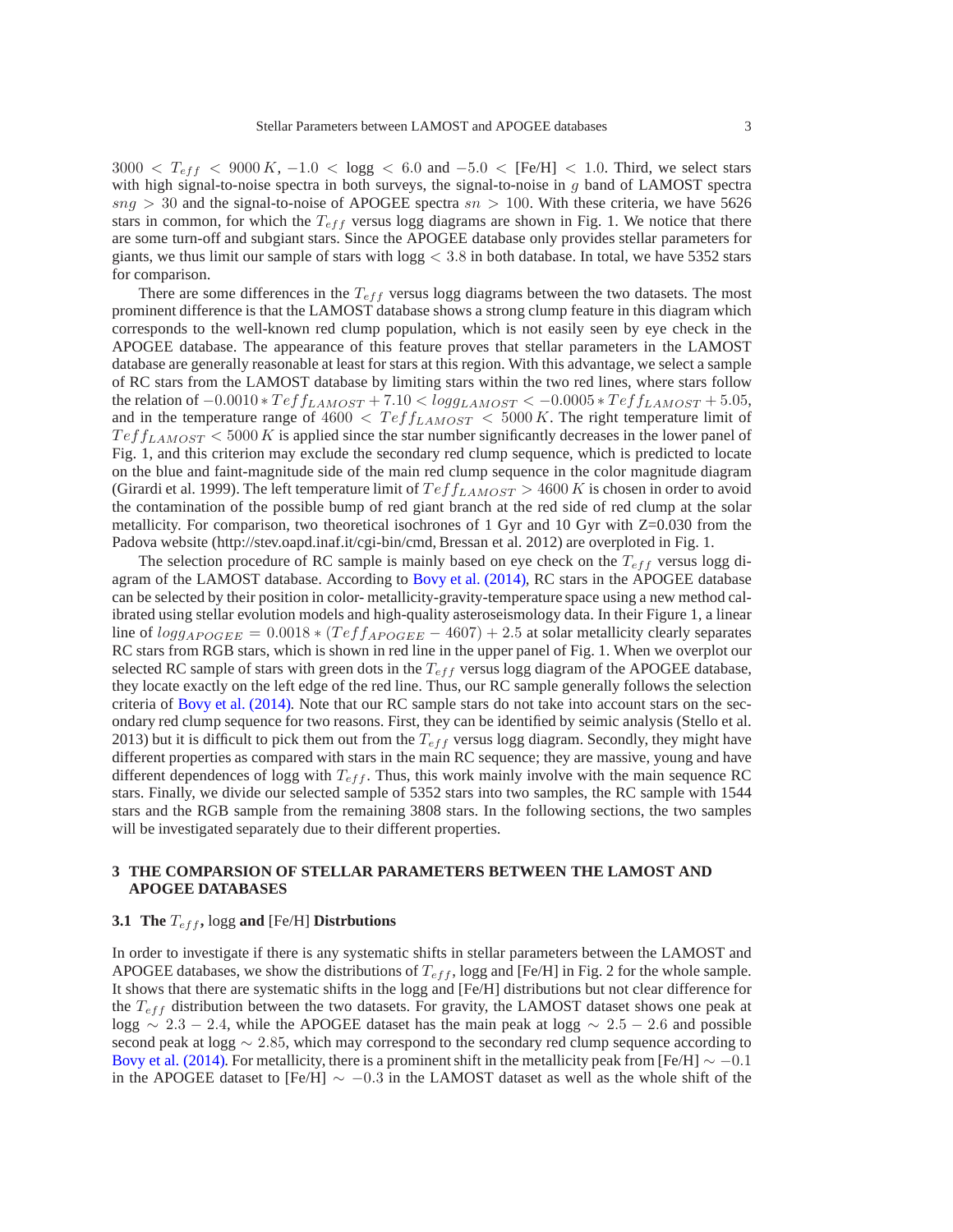$3000 < T_{eff} < 9000 K$ ,  $-1.0 < \log g < 6.0$  and  $-5.0 <$  [Fe/H]  $< 1.0$ . Third, we select stars with high signal-to-noise spectra in both surveys, the signal-to-noise in g band of LAMOST spectra  $sng > 30$  and the signal-to-noise of APOGEE spectra  $sn > 100$ . With these criteria, we have 5626 stars in common, for which the  $T_{eff}$  versus logg diagrams are shown in Fig. 1. We notice that there are some turn-off and subgiant stars. Since the APOGEE database only provides stellar parameters for giants, we thus limit our sample of stars with  $\log g < 3.8$  in both database. In total, we have 5352 stars for comparison.

There are some differences in the  $T_{eff}$  versus logg diagrams between the two datasets. The most prominent difference is that the LAMOST database shows a strong clump feature in this diagram which corresponds to the well-known red clump population, which is not easily seen by eye check in the APOGEE database. The appearance of this feature proves that stellar parameters in the LAMOST database are generally reasonable at least for stars at this region. With this advantage, we select a sample of RC stars from the LAMOST database by limiting stars within the two red lines, where stars follow the relation of  $-0.0010 * T \epsilon f f_{LAMOST} + 7.10 < logg_{LAMOST} < -0.0005 * T \epsilon f f_{LAMOST} + 5.05$ , and in the temperature range of  $4600 < Teff_{LAMOST} < 5000 K$ . The right temperature limit of  $T \, e f_{LAMOST} < 5000 \, K$  is applied since the star number significantly decreases in the lower panel of Fig. 1, and this criterion may exclude the secondary red clump sequence, which is predicted to locate on the blue and faint-magnitude side of the main red clump sequence in the color magnitude diagram (Girardi et al. 1999). The left temperature limit of  $T e f f_{LAMOST} > 4600 K$  is chosen in order to avoid the contamination of the possible bump of red giant branch at the red side of red clump at the solar metallicity. For comparison, two theoretical isochrones of 1 Gyr and 10 Gyr with Z=0.030 from the Padova website (http://stev.oapd.inaf.it/cgi-bin/cmd, Bressan et al. 2012) are overploted in Fig. 1.

The selection procedure of RC sample is mainly based on eye check on the  $T_{eff}$  versus logg diagram of the LAMOST database. According to Bovy et al. (2014), RC stars in the APOGEE database can be selected by their position in color- metallicity-gravity-temperature space using a new method calibrated using stellar evolution models and high-quality asteroseismology data. In their Figure 1, a linear line of  $logg_{APOGEE} = 0.0018 * (Teff_{APOGEE} - 4607) + 2.5$  at solar metallicity clearly separates RC stars from RGB stars, which is shown in red line in the upper panel of Fig. 1. When we overplot our selected RC sample of stars with green dots in the  $T_{eff}$  versus logg diagram of the APOGEE database, they locate exactly on the left edge of the red line. Thus, our RC sample generally follows the selection criteria of Bovy et al. (2014). Note that our RC sample stars do not take into account stars on the secondary red clump sequence for two reasons. First, they can be identified by seimic analysis (Stello et al. 2013) but it is difficult to pick them out from the  $T_{eff}$  versus logg diagram. Secondly, they might have different properties as compared with stars in the main RC sequence; they are massive, young and have different dependences of logg with  $T_{eff}$ . Thus, this work mainly involve with the main sequence RC stars. Finally, we divide our selected sample of 5352 stars into two samples, the RC sample with 1544 stars and the RGB sample from the remaining 3808 stars. In the following sections, the two samples will be investigated separately due to their different properties.

# **3 THE COMPARSION OF STELLAR PARAMETERS BETWEEN THE LAMOST AND APOGEE DATABASES**

# **3.1 The**  $T_{eff}$ , logg and [Fe/H] **Distrbutions**

In order to investigate if there is any systematic shifts in stellar parameters between the LAMOST and APOGEE databases, we show the distributions of  $T_{eff}$ , logg and [Fe/H] in Fig. 2 for the whole sample. It shows that there are systematic shifts in the logg and [Fe/H] distributions but not clear difference for the  $T_{eff}$  distribution between the two datasets. For gravity, the LAMOST dataset shows one peak at logg  $\sim 2.3 - 2.4$ , while the APOGEE dataset has the main peak at logg  $\sim 2.5 - 2.6$  and possible second peak at logg  $\sim$  2.85, which may correspond to the secondary red clump sequence according to Bovy et al. (2014). For metallicity, there is a prominent shift in the metallicity peak from [Fe/H]  $\sim -0.1$ in the APOGEE dataset to [Fe/H]  $\sim -0.3$  in the LAMOST dataset as well as the whole shift of the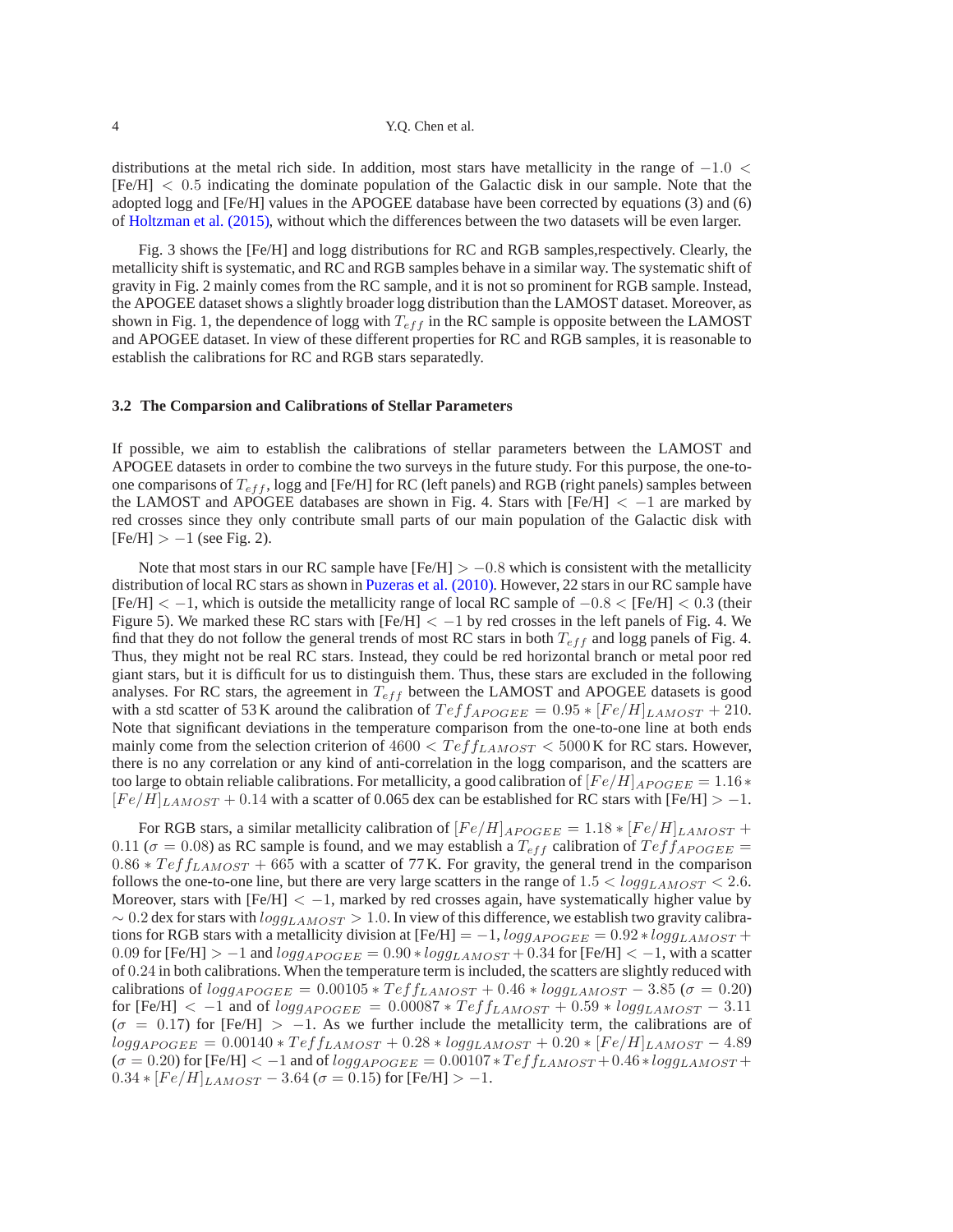4 Y.Q. Chen et al.

distributions at the metal rich side. In addition, most stars have metallicity in the range of  $-1.0 <$ [Fe/H] < 0.5 indicating the dominate population of the Galactic disk in our sample. Note that the adopted logg and [Fe/H] values in the APOGEE database have been corrected by equations (3) and (6) of Holtzman et al. (2015), without which the differences between the two datasets will be even larger.

Fig. 3 shows the [Fe/H] and logg distributions for RC and RGB samples,respectively. Clearly, the metallicity shift is systematic, and RC and RGB samples behave in a similar way. The systematic shift of gravity in Fig. 2 mainly comes from the RC sample, and it is not so prominent for RGB sample. Instead, the APOGEE dataset shows a slightly broader logg distribution than the LAMOST dataset. Moreover, as shown in Fig. 1, the dependence of logg with  $T_{eff}$  in the RC sample is opposite between the LAMOST and APOGEE dataset. In view of these different properties for RC and RGB samples, it is reasonable to establish the calibrations for RC and RGB stars separatedly.

## **3.2 The Comparsion and Calibrations of Stellar Parameters**

If possible, we aim to establish the calibrations of stellar parameters between the LAMOST and APOGEE datasets in order to combine the two surveys in the future study. For this purpose, the one-toone comparisons of  $T_{eff}$ , logg and [Fe/H] for RC (left panels) and RGB (right panels) samples between the LAMOST and APOGEE databases are shown in Fig. 4. Stars with  $[Fe/H] < -1$  are marked by red crosses since they only contribute small parts of our main population of the Galactic disk with  $[Fe/H] > -1$  (see Fig. 2).

Note that most stars in our RC sample have  $[Fe/H] > -0.8$  which is consistent with the metallicity distribution of local RC stars as shown in Puzeras et al. (2010). However, 22 stars in our RC sample have  $[Fe/H] < -1$ , which is outside the metallicity range of local RC sample of  $-0.8 < [Fe/H] < 0.3$  (their Figure 5). We marked these RC stars with  $[Fe/H] < -1$  by red crosses in the left panels of Fig. 4. We find that they do not follow the general trends of most RC stars in both  $T_{eff}$  and logg panels of Fig. 4. Thus, they might not be real RC stars. Instead, they could be red horizontal branch or metal poor red giant stars, but it is difficult for us to distinguish them. Thus, these stars are excluded in the following analyses. For RC stars, the agreement in  $T_{eff}$  between the LAMOST and APOGEE datasets is good with a std scatter of 53 K around the calibration of  $T e f f_{APOGEE} = 0.95 * [Fe/H]_{LAMOST} + 210$ . Note that significant deviations in the temperature comparison from the one-to-one line at both ends mainly come from the selection criterion of  $4600 < Teff_{LAMOST} < 5000$  K for RC stars. However, there is no any correlation or any kind of anti-correlation in the logg comparison, and the scatters are too large to obtain reliable calibrations. For metallicity, a good calibration of  $[Fe/H]_{APOGEE} = 1.16*$  $[Fe/H]_{LAMOST}$  + 0.14 with a scatter of 0.065 dex can be established for RC stars with  $[Fe/H]$  > -1.

For RGB stars, a similar metallicity calibration of  $[Fe/H]_{APOGEE} = 1.18 * [Fe/H]_{LAMOST} +$ 0.11 ( $\sigma$  = 0.08) as RC sample is found, and we may establish a  $T_{eff}$  calibration of  $T_{eff}$   $\Delta_{POGEE}$  =  $0.86 * T \text{eff}_{LAMOST} + 665$  with a scatter of 77 K. For gravity, the general trend in the comparison follows the one-to-one line, but there are very large scatters in the range of  $1.5 < logg_{LAMOST} < 2.6$ . Moreover, stars with  $[Fe/H] < -1$ , marked by red crosses again, have systematically higher value by  $\sim 0.2$  dex for stars with  $log g_{LAMOST} > 1.0$ . In view of this difference, we establish two gravity calibrations for RGB stars with a metallicity division at [Fe/H] =  $-1$ ,  $logg_{APOGEE} = 0.92 * logg_{LAMOST} +$ 0.09 for [Fe/H] >  $-1$  and  $logg_{APOGEE} = 0.90 * logg_{LAMOST} + 0.34$  for [Fe/H] <  $-1$ , with a scatter of 0.24 in both calibrations. When the temperature term is included, the scatters are slightly reduced with calibrations of  $log_{APOGEE} = 0.00105 * Teff_{LAMOST} + 0.46 * log_{LAMOST} - 3.85 (\sigma = 0.20)$ for [Fe/H]  $<-1$  and of  $logg_{APOGEE} = 0.00087 * Teff_{LAMOST} + 0.59 * logg_{LAMOST} - 3.11$  $(\sigma = 0.17)$  for [Fe/H] > -1. As we further include the metallicity term, the calibrations are of  $logg_{APOGEE} = 0.00140 * Teff_{LAMOST} + 0.28 * logg_{LAMOST} + 0.20 * [Fe/H]_{LAMOST} - 4.89$  $(\sigma = 0.20)$  for [Fe/H] < -1 and of  $logg_{APOGEE} = 0.00107 * Teff_{LAMOST} + 0.46 * logg_{LAMOST} + 0.00107 * Teff_{LAMOST} + 0.00107 * Teff_{LAMOST} + 0.00107 * Teff_{LAMOST} + 0.00107 * Teff_{LAMOST} + 0.00107 * Teff_{LAMOST} + 0.00107 * Teff_{LAMOST} + 0.00107 * Teff_{LAMOST} + 0.00107 * Teff_{LAMOST} + 0.00107 *$  $0.34 * [Fe/H]_{LAMOST} - 3.64 (\sigma = 0.15)$  for [Fe/H] > -1.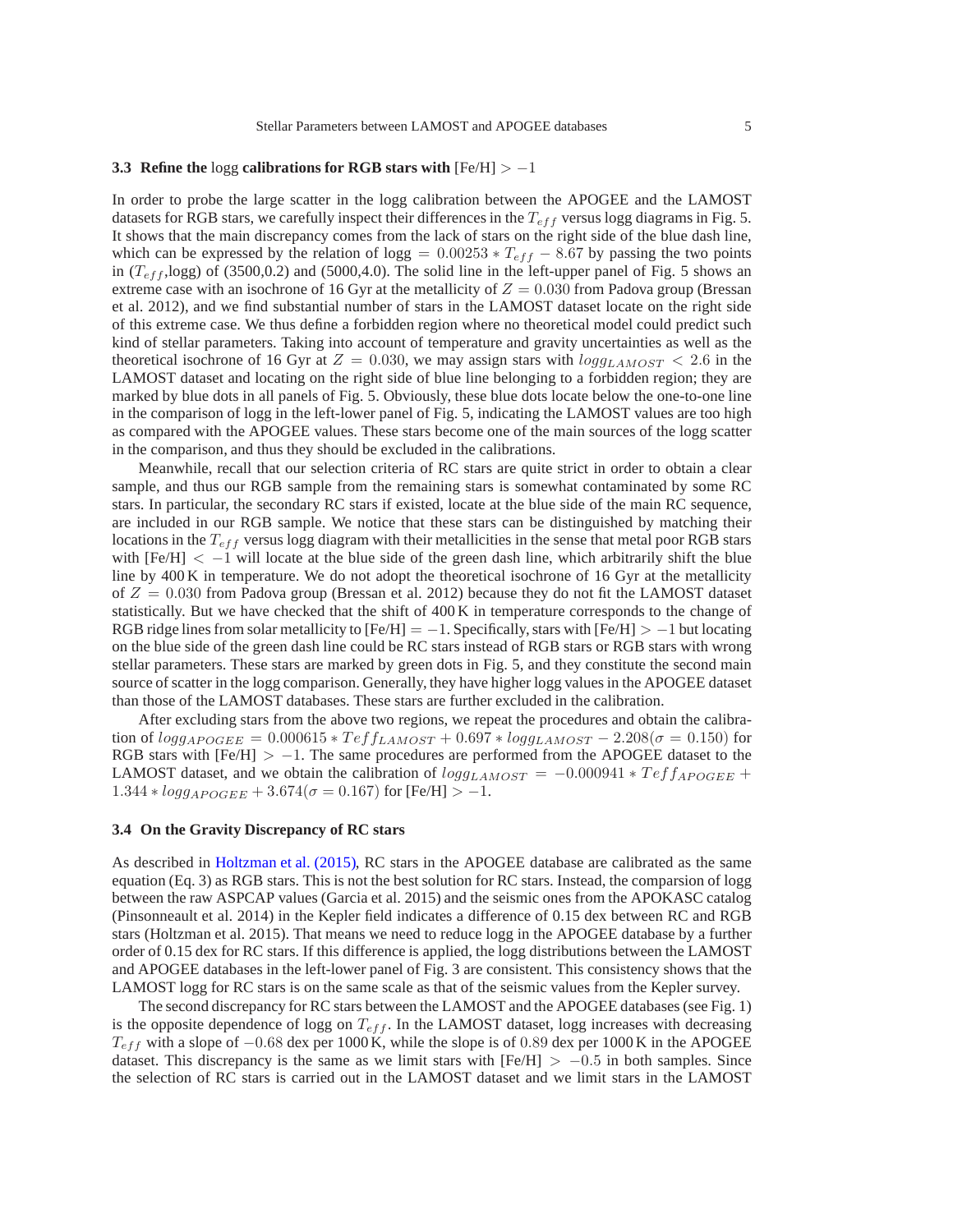#### **3.3 Refine the** logg **calibrations for RGB stars with** [Fe/H] > −1

In order to probe the large scatter in the logg calibration between the APOGEE and the LAMOST datasets for RGB stars, we carefully inspect their differences in the  $T_{eff}$  versus logg diagrams in Fig. 5. It shows that the main discrepancy comes from the lack of stars on the right side of the blue dash line, which can be expressed by the relation of logg =  $0.00253 * T_{eff} - 8.67$  by passing the two points in  $(T_{eff}$ ,logg) of (3500,0.2) and (5000,4.0). The solid line in the left-upper panel of Fig. 5 shows an extreme case with an isochrone of 16 Gyr at the metallicity of  $Z = 0.030$  from Padova group (Bressan et al. 2012), and we find substantial number of stars in the LAMOST dataset locate on the right side of this extreme case. We thus define a forbidden region where no theoretical model could predict such kind of stellar parameters. Taking into account of temperature and gravity uncertainties as well as the theoretical isochrone of 16 Gyr at  $Z = 0.030$ , we may assign stars with  $log q_{LAMOST} < 2.6$  in the LAMOST dataset and locating on the right side of blue line belonging to a forbidden region; they are marked by blue dots in all panels of Fig. 5. Obviously, these blue dots locate below the one-to-one line in the comparison of logg in the left-lower panel of Fig. 5, indicating the LAMOST values are too high as compared with the APOGEE values. These stars become one of the main sources of the logg scatter in the comparison, and thus they should be excluded in the calibrations.

Meanwhile, recall that our selection criteria of RC stars are quite strict in order to obtain a clear sample, and thus our RGB sample from the remaining stars is somewhat contaminated by some RC stars. In particular, the secondary RC stars if existed, locate at the blue side of the main RC sequence, are included in our RGB sample. We notice that these stars can be distinguished by matching their locations in the  $T_{eff}$  versus logg diagram with their metallicities in the sense that metal poor RGB stars with  $[Fe/H] < -1$  will locate at the blue side of the green dash line, which arbitrarily shift the blue line by 400 K in temperature. We do not adopt the theoretical isochrone of 16 Gyr at the metallicity of  $Z = 0.030$  from Padova group (Bressan et al. 2012) because they do not fit the LAMOST dataset statistically. But we have checked that the shift of 400 K in temperature corresponds to the change of RGB ridge lines from solar metallicity to  $[Fe/H] = -1$ . Specifically, stars with  $[Fe/H] > -1$  but locating on the blue side of the green dash line could be RC stars instead of RGB stars or RGB stars with wrong stellar parameters. These stars are marked by green dots in Fig. 5, and they constitute the second main source of scatter in the logg comparison. Generally, they have higher logg values in the APOGEE dataset than those of the LAMOST databases. These stars are further excluded in the calibration.

After excluding stars from the above two regions, we repeat the procedures and obtain the calibration of  $logq_{APOGER} = 0.000615 * Teff_{LAMOST} + 0.697 * logq_{LAMOST} - 2.208(\sigma = 0.150)$  for RGB stars with  $[Fe/H] > -1$ . The same procedures are performed from the APOGEE dataset to the LAMOST dataset, and we obtain the calibration of  $logg_{LAMOST} = -0.000941 * Teff_{APOGEE} +$  $1.344 * logg_{APOGEE} + 3.674(\sigma = 0.167)$  for [Fe/H] > -1.

## **3.4 On the Gravity Discrepancy of RC stars**

As described in Holtzman et al. (2015), RC stars in the APOGEE database are calibrated as the same equation (Eq. 3) as RGB stars. This is not the best solution for RC stars. Instead, the comparsion of logg between the raw ASPCAP values (Garcia et al. 2015) and the seismic ones from the APOKASC catalog (Pinsonneault et al. 2014) in the Kepler field indicates a difference of 0.15 dex between RC and RGB stars (Holtzman et al. 2015). That means we need to reduce logg in the APOGEE database by a further order of 0.15 dex for RC stars. If this difference is applied, the logg distributions between the LAMOST and APOGEE databases in the left-lower panel of Fig. 3 are consistent. This consistency shows that the LAMOST logg for RC stars is on the same scale as that of the seismic values from the Kepler survey.

The second discrepancy for RC stars between the LAMOST and the APOGEE databases (see Fig. 1) is the opposite dependence of logg on  $T_{eff}$ . In the LAMOST dataset, logg increases with decreasing  $T_{eff}$  with a slope of  $-0.68$  dex per 1000 K, while the slope is of 0.89 dex per 1000 K in the APOGEE dataset. This discrepancy is the same as we limit stars with  $[Fe/H] > -0.5$  in both samples. Since the selection of RC stars is carried out in the LAMOST dataset and we limit stars in the LAMOST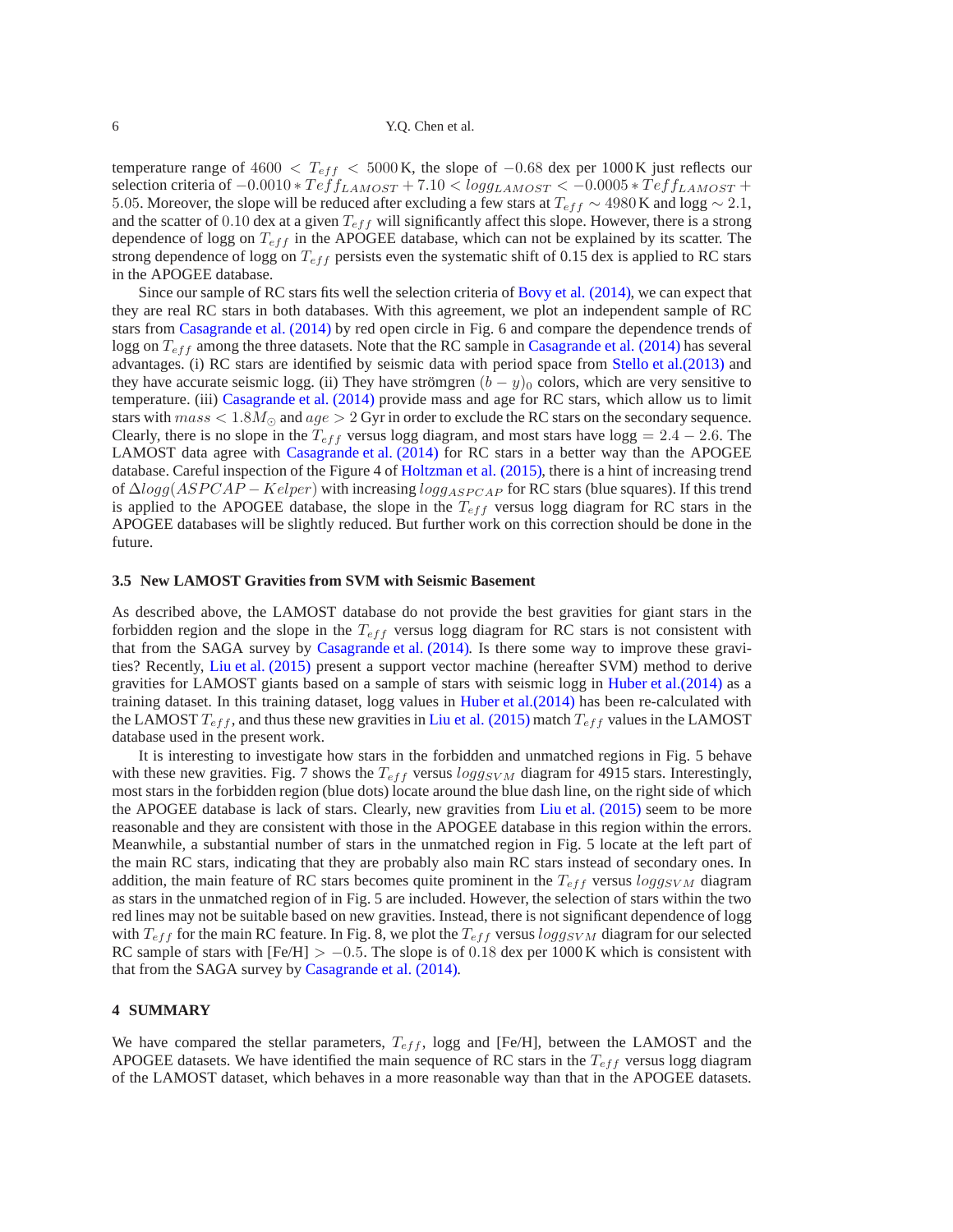temperature range of 4600  $\langle T_{eff} \rangle$  = 5000 K, the slope of  $-0.68$  dex per 1000 K just reflects our selection criteria of  $-0.0010 * Teff_{LAMOST} + 7.10 < logg_{LAMOST} < -0.0005 * Teff_{LAMOST} +$ 5.05. Moreover, the slope will be reduced after excluding a few stars at  $T_{eff} \sim 4980$  K and logg  $\sim 2.1$ , and the scatter of 0.10 dex at a given  $T_{eff}$  will significantly affect this slope. However, there is a strong dependence of logg on  $T_{eff}$  in the APOGEE database, which can not be explained by its scatter. The strong dependence of logg on  $T_{eff}$  persists even the systematic shift of 0.15 dex is applied to RC stars in the APOGEE database.

Since our sample of RC stars fits well the selection criteria of Bovy et al. (2014), we can expect that they are real RC stars in both databases. With this agreement, we plot an independent sample of RC stars from Casagrande et al. (2014) by red open circle in Fig. 6 and compare the dependence trends of logg on  $T_{eff}$  among the three datasets. Note that the RC sample in Casagrande et al. (2014) has several advantages. (i) RC stars are identified by seismic data with period space from Stello et al.(2013) and they have accurate seismic logg. (ii) They have strömgren  $(b - y)_0$  colors, which are very sensitive to temperature. (iii) Casagrande et al. (2014) provide mass and age for RC stars, which allow us to limit stars with  $mass < 1.8M_{\odot}$  and  $age > 2$  Gyr in order to exclude the RC stars on the secondary sequence. Clearly, there is no slope in the  $T_{eff}$  versus logg diagram, and most stars have logg = 2.4 – 2.6. The LAMOST data agree with Casagrande et al. (2014) for RC stars in a better way than the APOGEE database. Careful inspection of the Figure 4 of Holtzman et al. (2015), there is a hint of increasing trend of  $\Delta logg(ASPCAP - Kelper)$  with increasing  $logg_{ASPCAP}$  for RC stars (blue squares). If this trend is applied to the APOGEE database, the slope in the  $T_{eff}$  versus logg diagram for RC stars in the APOGEE databases will be slightly reduced. But further work on this correction should be done in the future.

## **3.5 New LAMOST Gravities from SVM with Seismic Basement**

As described above, the LAMOST database do not provide the best gravities for giant stars in the forbidden region and the slope in the  $T_{eff}$  versus logg diagram for RC stars is not consistent with that from the SAGA survey by Casagrande et al. (2014). Is there some way to improve these gravities? Recently, Liu et al. (2015) present a support vector machine (hereafter SVM) method to derive gravities for LAMOST giants based on a sample of stars with seismic logg in Huber et al.(2014) as a training dataset. In this training dataset, logg values in Huber et al.(2014) has been re-calculated with the LAMOST  $T_{eff}$ , and thus these new gravities in Liu et al. (2015) match  $T_{eff}$  values in the LAMOST database used in the present work.

It is interesting to investigate how stars in the forbidden and unmatched regions in Fig. 5 behave with these new gravities. Fig. 7 shows the  $T_{eff}$  versus  $logg_{SVM}$  diagram for 4915 stars. Interestingly, most stars in the forbidden region (blue dots) locate around the blue dash line, on the right side of which the APOGEE database is lack of stars. Clearly, new gravities from Liu et al. (2015) seem to be more reasonable and they are consistent with those in the APOGEE database in this region within the errors. Meanwhile, a substantial number of stars in the unmatched region in Fig. 5 locate at the left part of the main RC stars, indicating that they are probably also main RC stars instead of secondary ones. In addition, the main feature of RC stars becomes quite prominent in the  $T_{eff}$  versus  $logg_{SVM}$  diagram as stars in the unmatched region of in Fig. 5 are included. However, the selection of stars within the two red lines may not be suitable based on new gravities. Instead, there is not significant dependence of logg with  $T_{eff}$  for the main RC feature. In Fig. 8, we plot the  $T_{eff}$  versus logg<sub>SVM</sub> diagram for our selected RC sample of stars with  $[Fe/H] > -0.5$ . The slope is of 0.18 dex per 1000 K which is consistent with that from the SAGA survey by Casagrande et al. (2014).

## **4 SUMMARY**

We have compared the stellar parameters,  $T_{eff}$ , logg and [Fe/H], between the LAMOST and the APOGEE datasets. We have identified the main sequence of RC stars in the  $T_{eff}$  versus logg diagram of the LAMOST dataset, which behaves in a more reasonable way than that in the APOGEE datasets.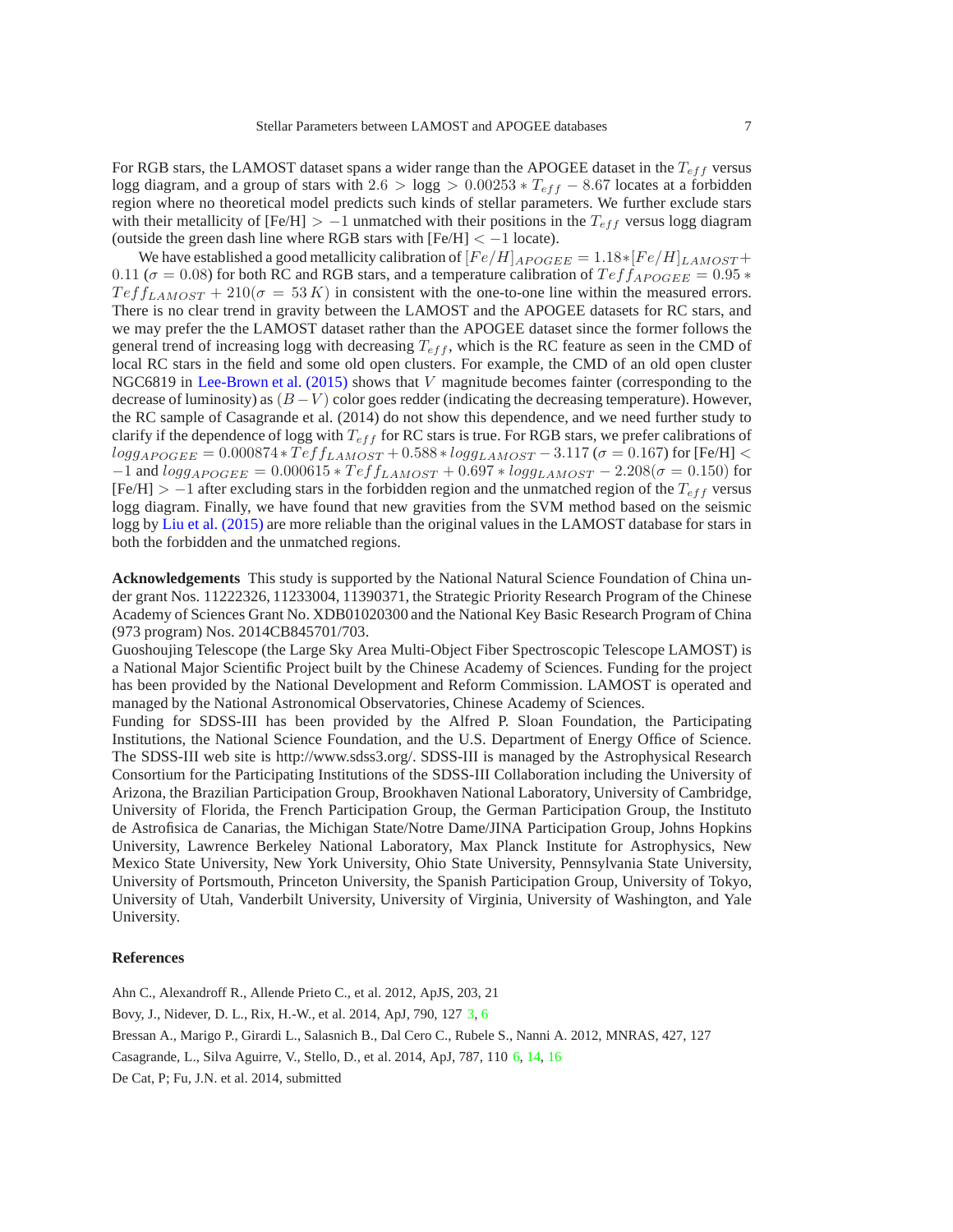For RGB stars, the LAMOST dataset spans a wider range than the APOGEE dataset in the  $T_{eff}$  versus logg diagram, and a group of stars with  $2.6 > log g > 0.00253 * T_{eff} - 8.67$  locates at a forbidden region where no theoretical model predicts such kinds of stellar parameters. We further exclude stars with their metallicity of  $[Fe/H] > -1$  unmatched with their positions in the  $T_{eff}$  versus logg diagram (outside the green dash line where RGB stars with  $[Fe/H] < -1$  locate).

We have established a good metallicity calibration of  $[Fe/H]_{APOGEE} = 1.18 * [Fe/H]_{LAMOST} +$ 0.11 ( $\sigma$  = 0.08) for both RC and RGB stars, and a temperature calibration of  $Tef_{APOGEE}$  = 0.95  $*$  $T \epsilon f_{LAMOST} + 210(\sigma = 53 K)$  in consistent with the one-to-one line within the measured errors. There is no clear trend in gravity between the LAMOST and the APOGEE datasets for RC stars, and we may prefer the the LAMOST dataset rather than the APOGEE dataset since the former follows the general trend of increasing logg with decreasing  $T_{eff}$ , which is the RC feature as seen in the CMD of local RC stars in the field and some old open clusters. For example, the CMD of an old open cluster NGC6819 in Lee-Brown et al. (2015) shows that V magnitude becomes fainter (corresponding to the decrease of luminosity) as  $(B - V)$  color goes redder (indicating the decreasing temperature). However, the RC sample of Casagrande et al. (2014) do not show this dependence, and we need further study to clarify if the dependence of logg with  $T_{eff}$  for RC stars is true. For RGB stars, we prefer calibrations of  $log g_{APOGEE} = 0.000874 * Teff_{LAMOST} + 0.588 * log g_{LAMOST} - 3.117$  ( $\sigma = 0.167$ ) for [Fe/H] <  $-1$  and  $logg_{APOGEE} = 0.000615 * Teff_{LAMOST} + 0.697 * logg_{LAMOST} - 2.208(\sigma = 0.150)$  for [Fe/H] > −1 after excluding stars in the forbidden region and the unmatched region of the  $T_{eff}$  versus logg diagram. Finally, we have found that new gravities from the SVM method based on the seismic logg by Liu et al. (2015) are more reliable than the original values in the LAMOST database for stars in both the forbidden and the unmatched regions.

**Acknowledgements** This study is supported by the National Natural Science Foundation of China under grant Nos. 11222326, 11233004, 11390371, the Strategic Priority Research Program of the Chinese Academy of Sciences Grant No. XDB01020300 and the National Key Basic Research Program of China (973 program) Nos. 2014CB845701/703.

Guoshoujing Telescope (the Large Sky Area Multi-Object Fiber Spectroscopic Telescope LAMOST) is a National Major Scientific Project built by the Chinese Academy of Sciences. Funding for the project has been provided by the National Development and Reform Commission. LAMOST is operated and managed by the National Astronomical Observatories, Chinese Academy of Sciences.

Funding for SDSS-III has been provided by the Alfred P. Sloan Foundation, the Participating Institutions, the National Science Foundation, and the U.S. Department of Energy Office of Science. The SDSS-III web site is http://www.sdss3.org/. SDSS-III is managed by the Astrophysical Research Consortium for the Participating Institutions of the SDSS-III Collaboration including the University of Arizona, the Brazilian Participation Group, Brookhaven National Laboratory, University of Cambridge, University of Florida, the French Participation Group, the German Participation Group, the Instituto de Astrofisica de Canarias, the Michigan State/Notre Dame/JINA Participation Group, Johns Hopkins University, Lawrence Berkeley National Laboratory, Max Planck Institute for Astrophysics, New Mexico State University, New York University, Ohio State University, Pennsylvania State University, University of Portsmouth, Princeton University, the Spanish Participation Group, University of Tokyo, University of Utah, Vanderbilt University, University of Virginia, University of Washington, and Yale University.

#### **References**

Ahn C., Alexandroff R., Allende Prieto C., et al. 2012, ApJS, 203, 21 Bovy, J., Nidever, D. L., Rix, H.-W., et al. 2014, ApJ, 790, 127 3, 6 Bressan A., Marigo P., Girardi L., Salasnich B., Dal Cero C., Rubele S., Nanni A. 2012, MNRAS, 427, 127 Casagrande, L., Silva Aguirre, V., Stello, D., et al. 2014, ApJ, 787, 110 6, 14, 16 De Cat, P; Fu, J.N. et al. 2014, submitted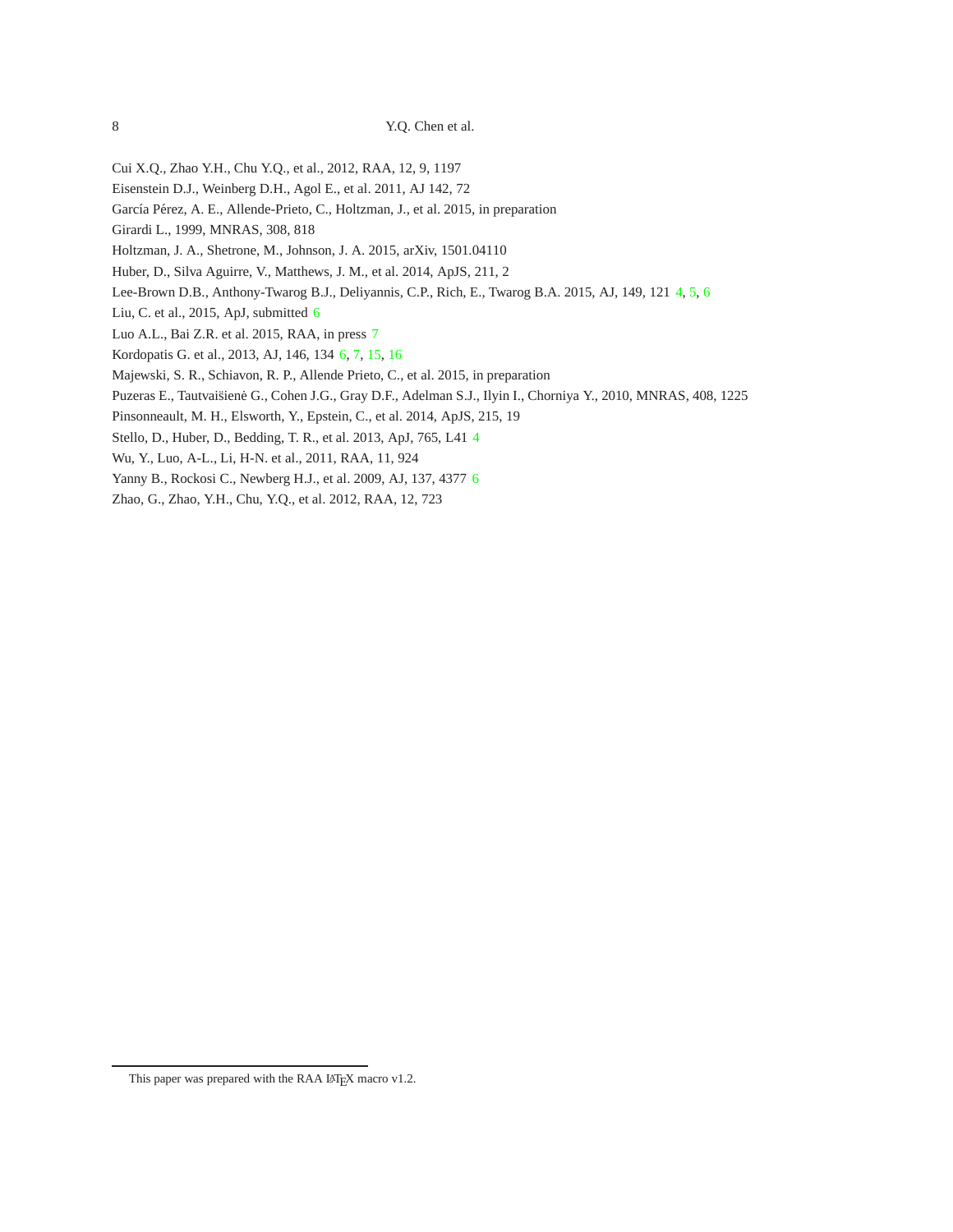- Cui X.Q., Zhao Y.H., Chu Y.Q., et al., 2012, RAA, 12, 9, 1197
- Eisenstein D.J., Weinberg D.H., Agol E., et al. 2011, AJ 142, 72
- García Pérez, A. E., Allende-Prieto, C., Holtzman, J., et al. 2015, in preparation
- Girardi L., 1999, MNRAS, 308, 818
- Holtzman, J. A., Shetrone, M., Johnson, J. A. 2015, arXiv, 1501.04110
- Huber, D., Silva Aguirre, V., Matthews, J. M., et al. 2014, ApJS, 211, 2
- Lee-Brown D.B., Anthony-Twarog B.J., Deliyannis, C.P., Rich, E., Twarog B.A. 2015, AJ, 149, 121 4, 5, 6
- Liu, C. et al., 2015, ApJ, submitted 6
- Luo A.L., Bai Z.R. et al. 2015, RAA, in press 7
- Kordopatis G. et al., 2013, AJ, 146, 134 6, 7, 15, 16
- Majewski, S. R., Schiavon, R. P., Allende Prieto, C., et al. 2015, in preparation
- Puzeras E., Tautvaišienė G., Cohen J.G., Gray D.F., Adelman S.J., Ilyin I., Chorniya Y., 2010, MNRAS, 408, 1225
- Pinsonneault, M. H., Elsworth, Y., Epstein, C., et al. 2014, ApJS, 215, 19
- Stello, D., Huber, D., Bedding, T. R., et al. 2013, ApJ, 765, L41 4
- Wu, Y., Luo, A-L., Li, H-N. et al., 2011, RAA, 11, 924
- Yanny B., Rockosi C., Newberg H.J., et al. 2009, AJ, 137, 4377 6
- Zhao, G., Zhao, Y.H., Chu, Y.Q., et al. 2012, RAA, 12, 723

This paper was prepared with the RAA LATEX macro v1.2.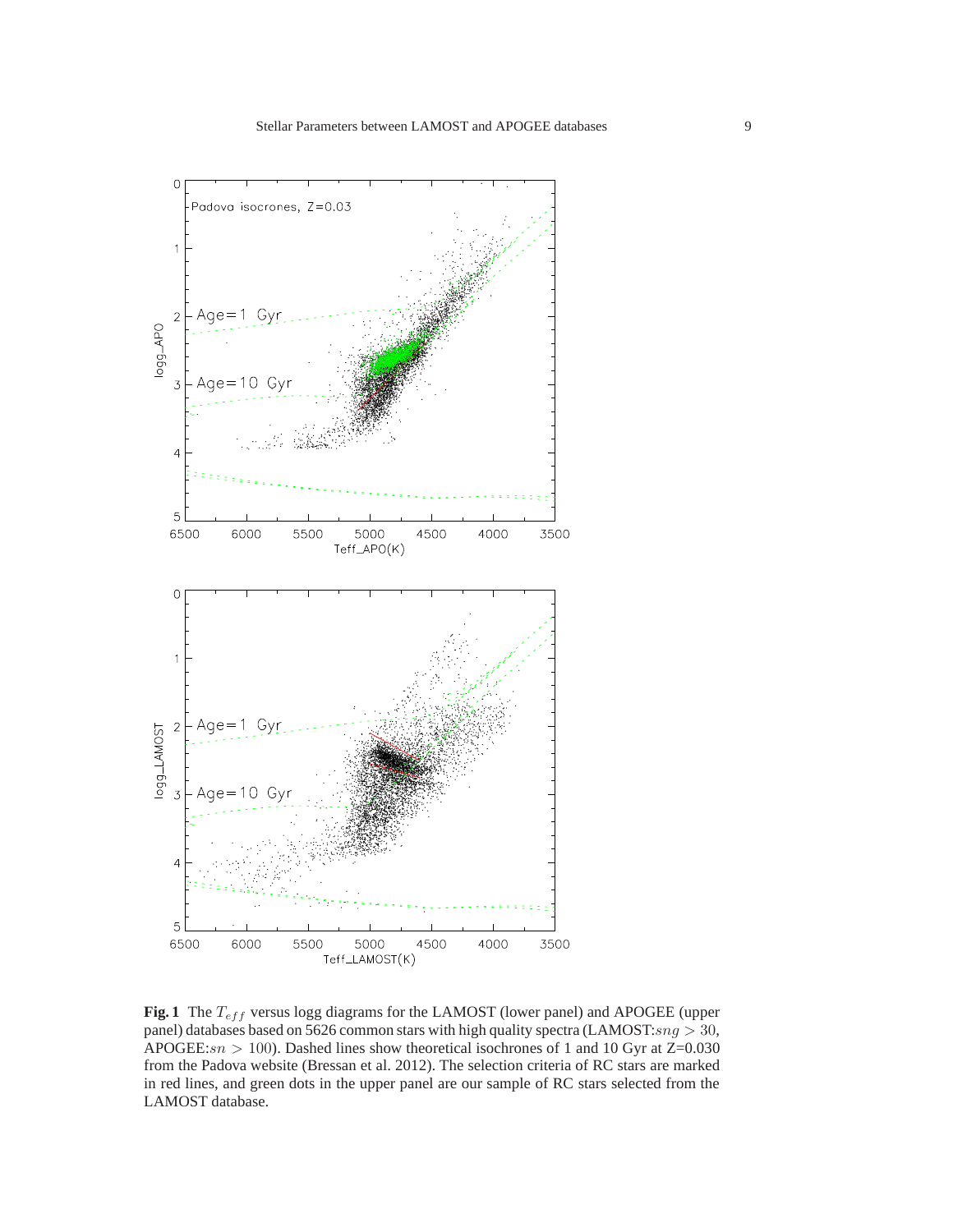

**Fig. 1** The  $T_{eff}$  versus logg diagrams for the LAMOST (lower panel) and APOGEE (upper panel) databases based on 5626 common stars with high quality spectra (LAMOST: $sng > 30$ , APOGEE: $sn > 100$ ). Dashed lines show theoretical isochrones of 1 and 10 Gyr at Z=0.030 from the Padova website (Bressan et al. 2012). The selection criteria of RC stars are marked in red lines, and green dots in the upper panel are our sample of RC stars selected from the LAMOST database.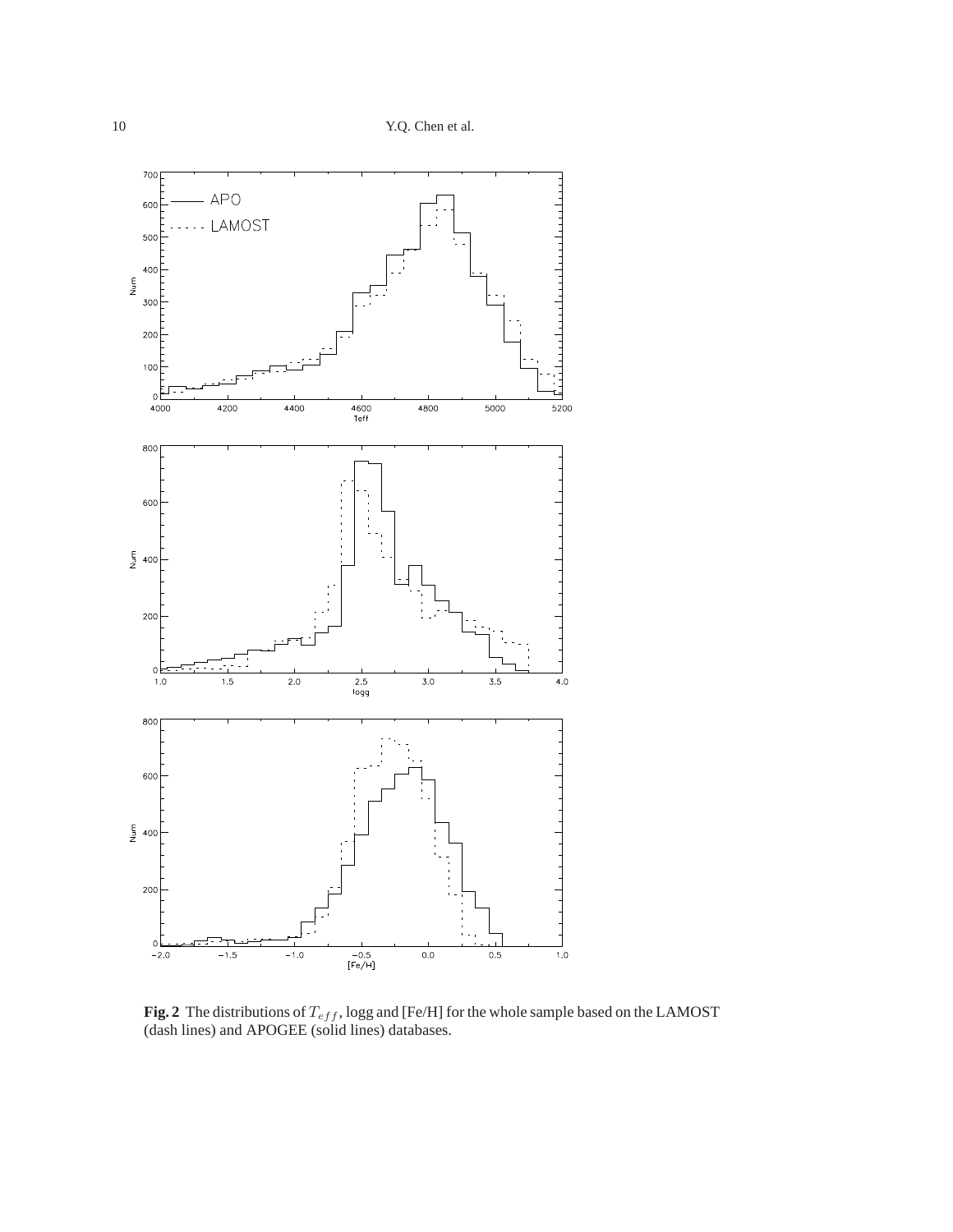

**Fig. 2** The distributions of  $T_{eff}$ , logg and [Fe/H] for the whole sample based on the LAMOST (dash lines) and APOGEE (solid lines) databases.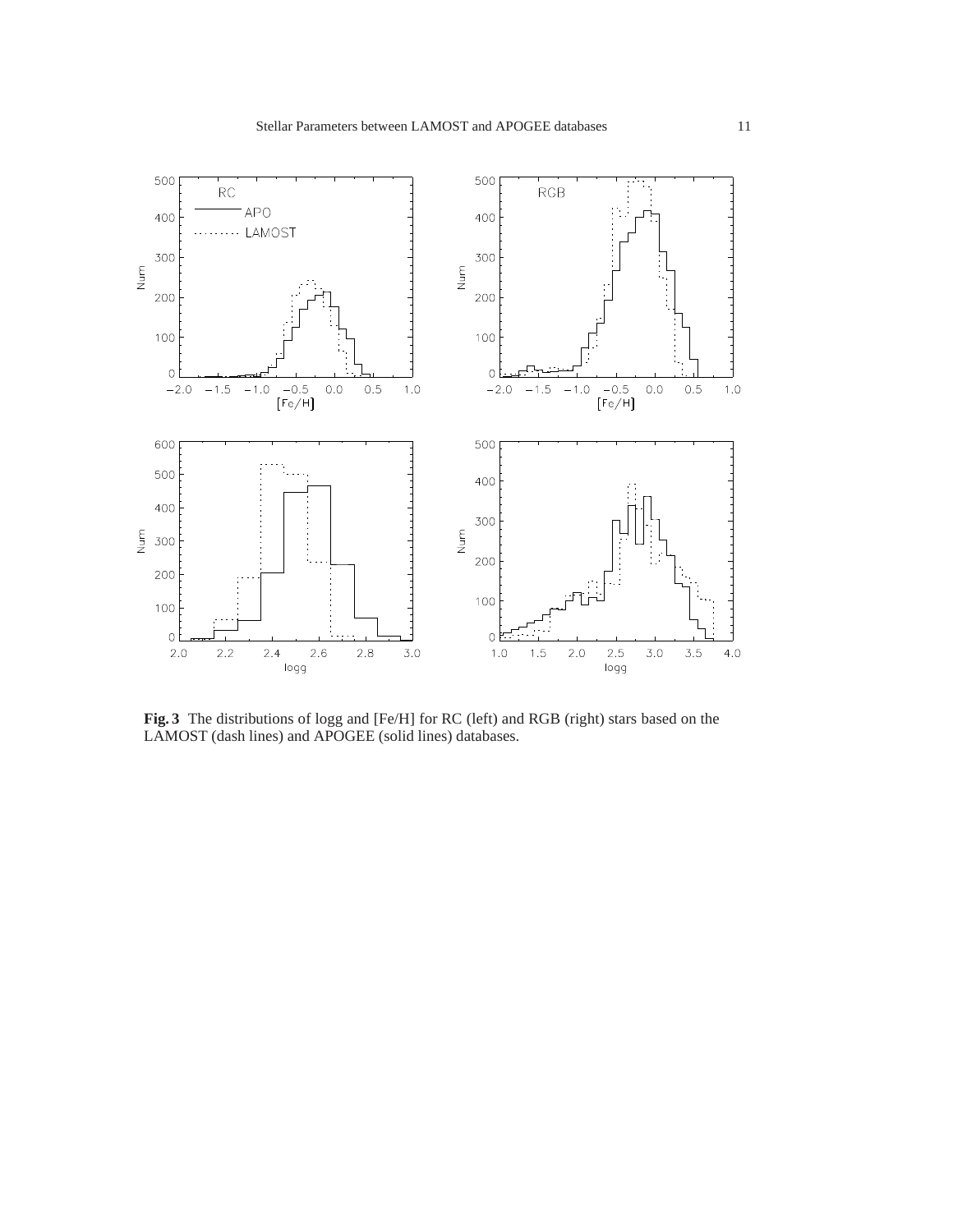

**Fig. 3** The distributions of logg and [Fe/H] for RC (left) and RGB (right) stars based on the LAMOST (dash lines) and APOGEE (solid lines) databases.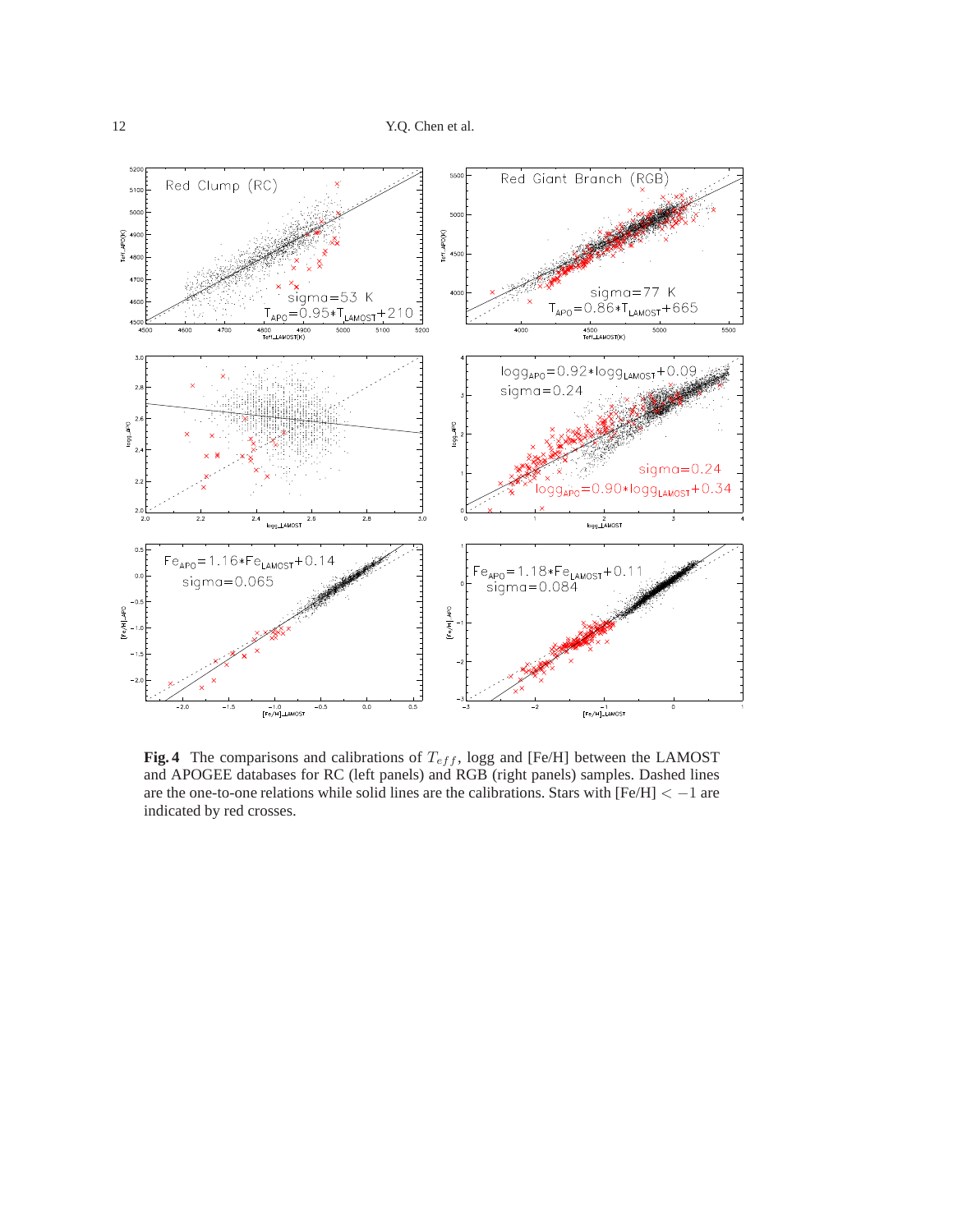

**Fig. 4** The comparisons and calibrations of  $T_{eff}$ , logg and [Fe/H] between the LAMOST and APOGEE databases for RC (left panels) and RGB (right panels) samples. Dashed lines are the one-to-one relations while solid lines are the calibrations. Stars with [Fe/H] < −1 are indicated by red crosses.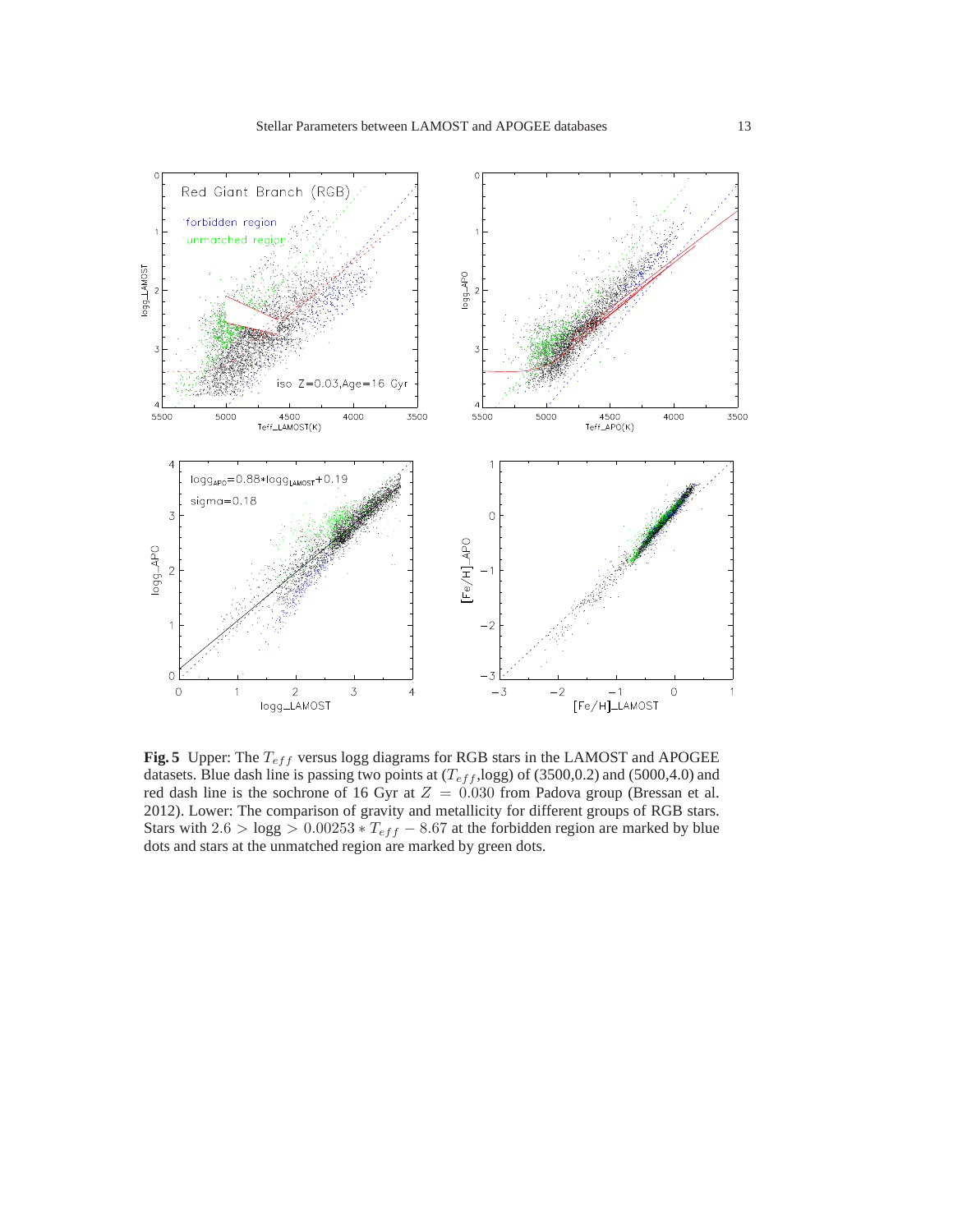

**Fig. 5** Upper: The  $T_{eff}$  versus logg diagrams for RGB stars in the LAMOST and APOGEE datasets. Blue dash line is passing two points at  $(T_{eff}, \text{logg})$  of (3500,0.2) and (5000,4.0) and red dash line is the sochrone of 16 Gyr at  $Z = 0.030$  from Padova group (Bressan et al. 2012). Lower: The comparison of gravity and metallicity for different groups of RGB stars. Stars with  $2.6 > \log g > 0.00253 * T_{eff} - 8.67$  at the forbidden region are marked by blue dots and stars at the unmatched region are marked by green dots.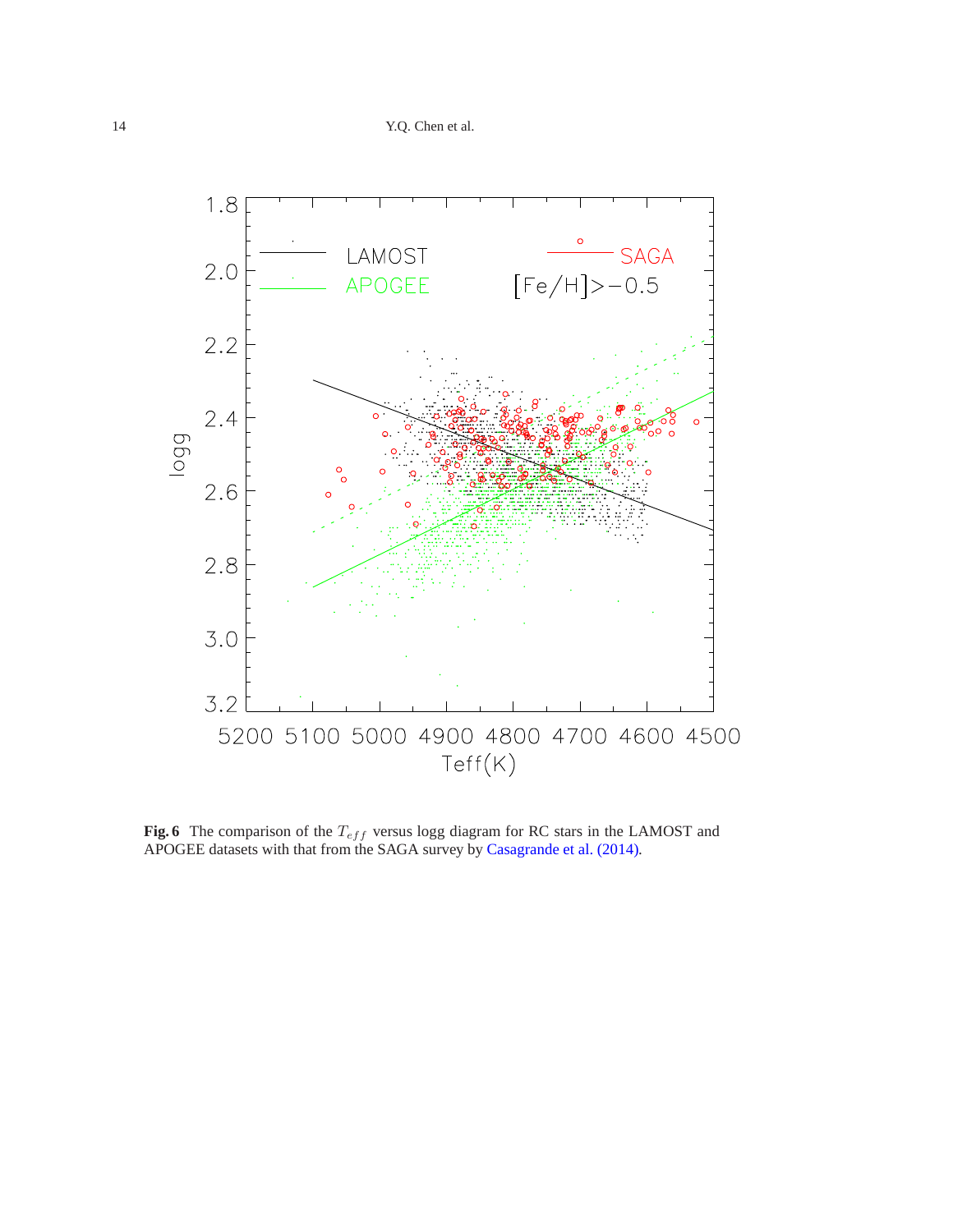

**Fig. 6** The comparison of the  $T_{eff}$  versus logg diagram for RC stars in the LAMOST and APOGEE datasets with that from the SAGA survey by Casagrande et al. (2014).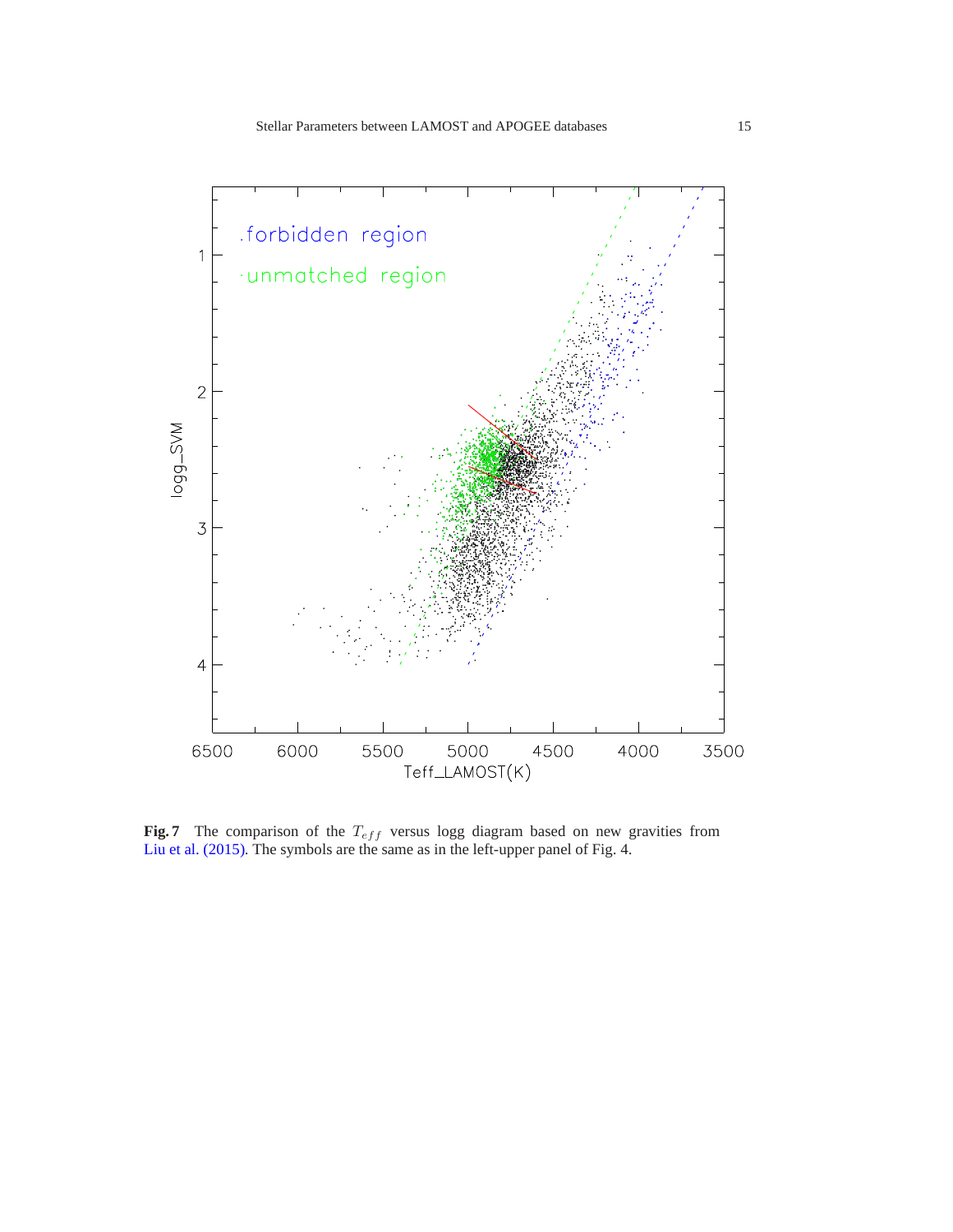

**Fig. 7** The comparison of the  $T_{eff}$  versus logg diagram based on new gravities from Liu et al. (2015). The symbols are the same as in the left-upper panel of Fig. 4.